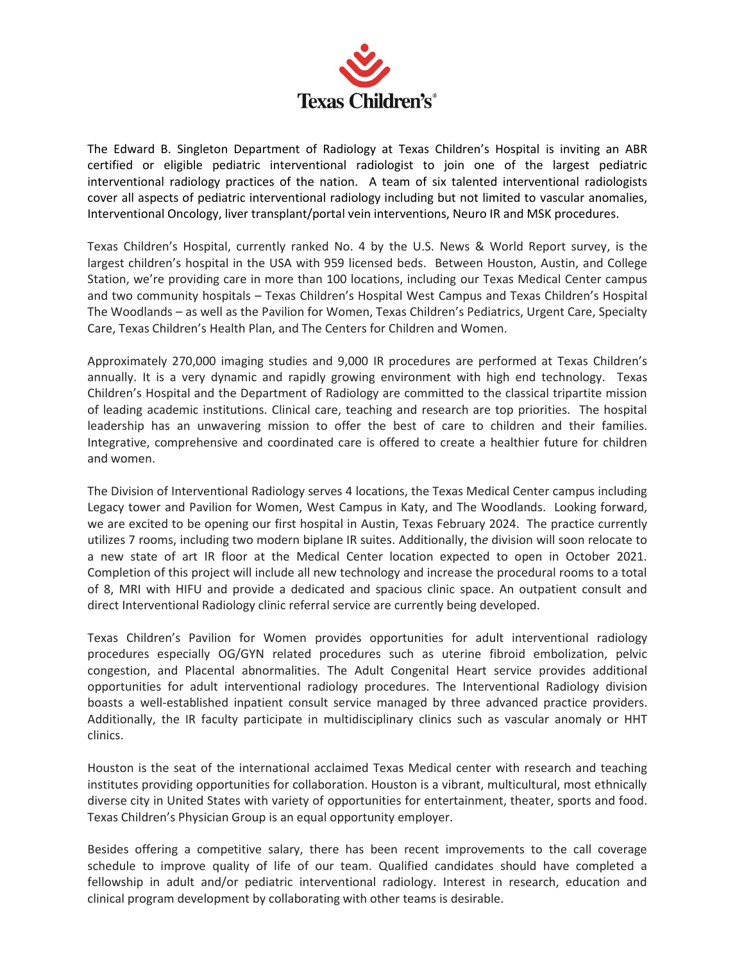

The Edward B. Singleton Department of Radiology at Texas Children's Hospital is inviting an ABR certified or eligible pediatric interventional radiologist to join one of the largest pediatric interventional radiology practices of the nation. A team of six talented interventional radiologists cover all aspects of pediatric interventional radiology including but not limited to vascular anomalies, Interventional Oncology, liver transplant/portal vein interventions, Neuro IR and MSK procedures.

Texas Children's Hospital, currently ranked No. 4 by the U.S. News & World Report survey, is the largest children's hospital in the USA with 959 licensed beds. Between Houston, Austin, and College Station, we're providing care in more than 100 locations, including our Texas Medical Center campus and two community hospitals – Texas Children's Hospital West Campus and Texas Children's Hospital The Woodlands – as well as the Pavilion for Women, Texas Children's Pediatrics, Urgent Care, Specialty Care, Texas Children's Health Plan, and The Centers for Children and Women.

Approximately 270,000 imaging studies and 9,000 IR procedures are performed at Texas Children's annually. It is a very dynamic and rapidly growing environment with high end technology. Texas Children's Hospital and the Department of Radiology are committed to the classical tripartite mission of leading academic institutions. Clinical care, teaching and research are top priorities. The hospital leadership has an unwavering mission to offer the best of care to children and their families. Integrative, comprehensive and coordinated care is offered to create a healthier future for children and women.

The Division of Interventional Radiology serves 4 locations, the Texas Medical Center campus including Legacy tower and Pavilion for Women, West Campus in Katy, and The Woodlands. Looking forward, we are excited to be opening our first hospital in Austin, Texas February 2024. The practice currently utilizes 7 rooms, including two modern biplane IR suites. Additionally, th*e* division will soon relocate to a new state of art IR floor at the Medical Center location expected to open in October 2021. Completion of this project will include all new technology and increase the procedural rooms to a total of 8, MRI with HIFU and provide a dedicated and spacious clinic space. An outpatient consult and direct Interventional Radiology clinic referral service are currently being developed.

Texas Children's Pavilion for Women provides opportunities for adult interventional radiology procedures especially OG/GYN related procedures such as uterine fibroid embolization, pelvic congestion, and Placental abnormalities. The Adult Congenital Heart service provides additional opportunities for adult interventional radiology procedures. The Interventional Radiology division boasts a well-established inpatient consult service managed by three advanced practice providers. Additionally, the IR faculty participate in multidisciplinary clinics such as vascular anomaly or HHT clinics.

Houston is the seat of the international acclaimed Texas Medical center with research and teaching institutes providing opportunities for collaboration. Houston is a vibrant, multicultural, most ethnically diverse city in United States with variety of opportunities for entertainment, theater, sports and food. Texas Children's Physician Group is an equal opportunity employer.

Besides offering a competitive salary, there has been recent improvements to the call coverage schedule to improve quality of life of our team. Qualified candidates should have completed a fellowship in adult and/or pediatric interventional radiology. Interest in research, education and clinical program development by collaborating with other teams is desirable.